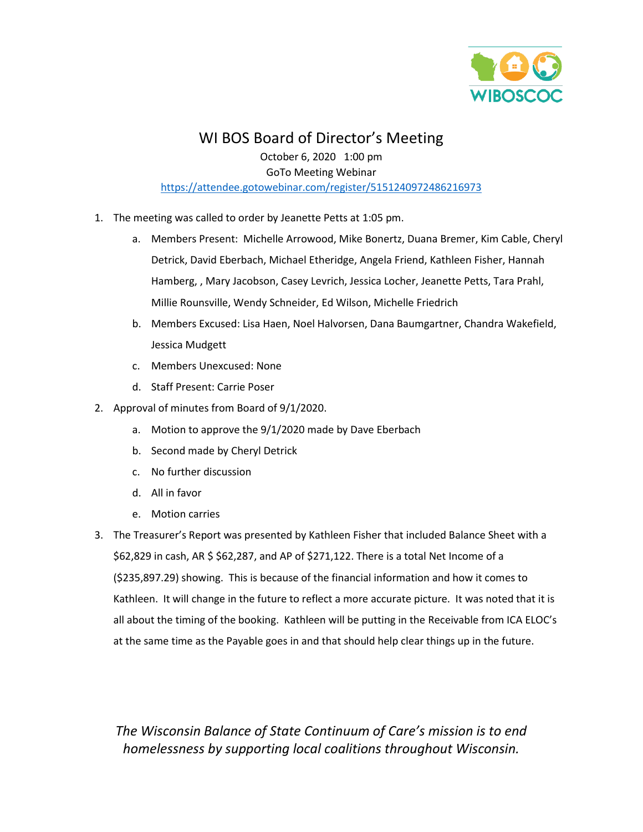

# WI BOS Board of Director's Meeting

October 6, 2020 1:00 pm GoTo Meeting Webinar <https://attendee.gotowebinar.com/register/5151240972486216973>

- 1. The meeting was called to order by Jeanette Petts at 1:05 pm.
	- a. Members Present: Michelle Arrowood, Mike Bonertz, Duana Bremer, Kim Cable, Cheryl Detrick, David Eberbach, Michael Etheridge, Angela Friend, Kathleen Fisher, Hannah Hamberg, , Mary Jacobson, Casey Levrich, Jessica Locher, Jeanette Petts, Tara Prahl, Millie Rounsville, Wendy Schneider, Ed Wilson, Michelle Friedrich
	- b. Members Excused: Lisa Haen, Noel Halvorsen, Dana Baumgartner, Chandra Wakefield, Jessica Mudgett
	- c. Members Unexcused: None
	- d. Staff Present: Carrie Poser
- 2. Approval of minutes from Board of 9/1/2020.
	- a. Motion to approve the 9/1/2020 made by Dave Eberbach
	- b. Second made by Cheryl Detrick
	- c. No further discussion
	- d. All in favor
	- e. Motion carries
- 3. The Treasurer's Report was presented by Kathleen Fisher that included Balance Sheet with a \$62,829 in cash, AR \$ \$62,287, and AP of \$271,122. There is a total Net Income of a (\$235,897.29) showing. This is because of the financial information and how it comes to Kathleen. It will change in the future to reflect a more accurate picture. It was noted that it is all about the timing of the booking. Kathleen will be putting in the Receivable from ICA ELOC's at the same time as the Payable goes in and that should help clear things up in the future.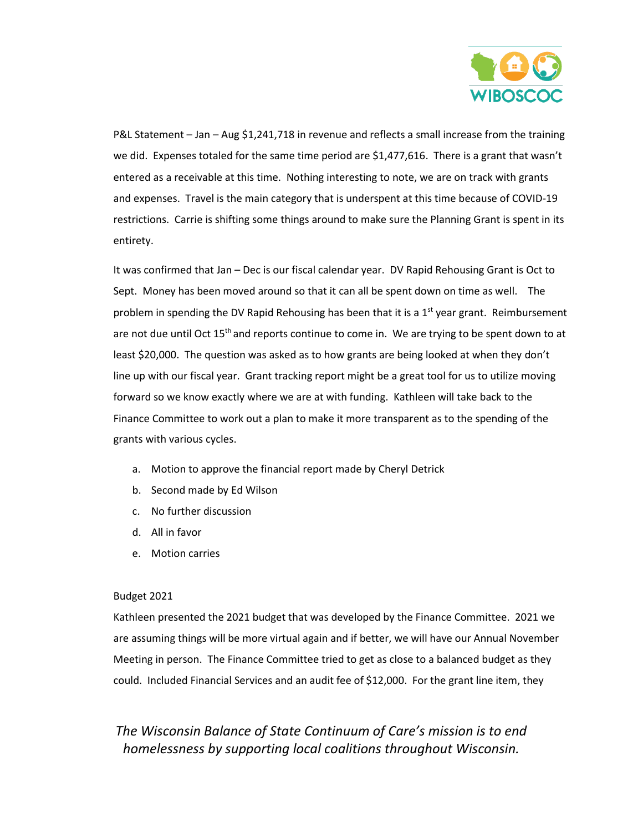

P&L Statement – Jan – Aug \$1,241,718 in revenue and reflects a small increase from the training we did. Expenses totaled for the same time period are \$1,477,616. There is a grant that wasn't entered as a receivable at this time. Nothing interesting to note, we are on track with grants and expenses. Travel is the main category that is underspent at this time because of COVID-19 restrictions. Carrie is shifting some things around to make sure the Planning Grant is spent in its entirety.

It was confirmed that Jan – Dec is our fiscal calendar year. DV Rapid Rehousing Grant is Oct to Sept. Money has been moved around so that it can all be spent down on time as well. The problem in spending the DV Rapid Rehousing has been that it is a  $1<sup>st</sup>$  year grant. Reimbursement are not due until Oct  $15<sup>th</sup>$  and reports continue to come in. We are trying to be spent down to at least \$20,000. The question was asked as to how grants are being looked at when they don't line up with our fiscal year. Grant tracking report might be a great tool for us to utilize moving forward so we know exactly where we are at with funding. Kathleen will take back to the Finance Committee to work out a plan to make it more transparent as to the spending of the grants with various cycles.

- a. Motion to approve the financial report made by Cheryl Detrick
- b. Second made by Ed Wilson
- c. No further discussion
- d. All in favor
- e. Motion carries

#### Budget 2021

Kathleen presented the 2021 budget that was developed by the Finance Committee. 2021 we are assuming things will be more virtual again and if better, we will have our Annual November Meeting in person. The Finance Committee tried to get as close to a balanced budget as they could. Included Financial Services and an audit fee of \$12,000. For the grant line item, they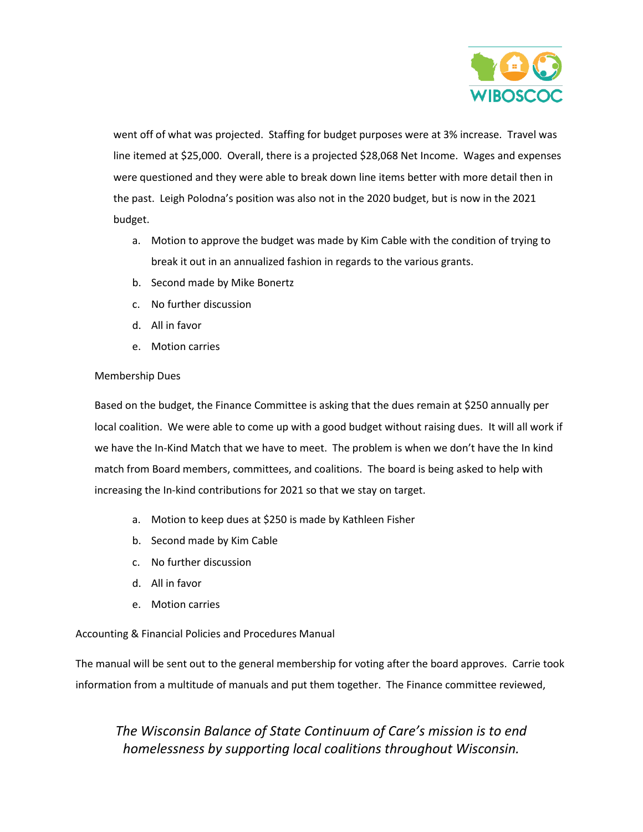

went off of what was projected. Staffing for budget purposes were at 3% increase. Travel was line itemed at \$25,000. Overall, there is a projected \$28,068 Net Income. Wages and expenses were questioned and they were able to break down line items better with more detail then in the past. Leigh Polodna's position was also not in the 2020 budget, but is now in the 2021 budget.

- a. Motion to approve the budget was made by Kim Cable with the condition of trying to break it out in an annualized fashion in regards to the various grants.
- b. Second made by Mike Bonertz
- c. No further discussion
- d. All in favor
- e. Motion carries

#### Membership Dues

Based on the budget, the Finance Committee is asking that the dues remain at \$250 annually per local coalition. We were able to come up with a good budget without raising dues. It will all work if we have the In-Kind Match that we have to meet. The problem is when we don't have the In kind match from Board members, committees, and coalitions. The board is being asked to help with increasing the In-kind contributions for 2021 so that we stay on target.

- a. Motion to keep dues at \$250 is made by Kathleen Fisher
- b. Second made by Kim Cable
- c. No further discussion
- d. All in favor
- e. Motion carries

#### Accounting & Financial Policies and Procedures Manual

The manual will be sent out to the general membership for voting after the board approves. Carrie took information from a multitude of manuals and put them together. The Finance committee reviewed,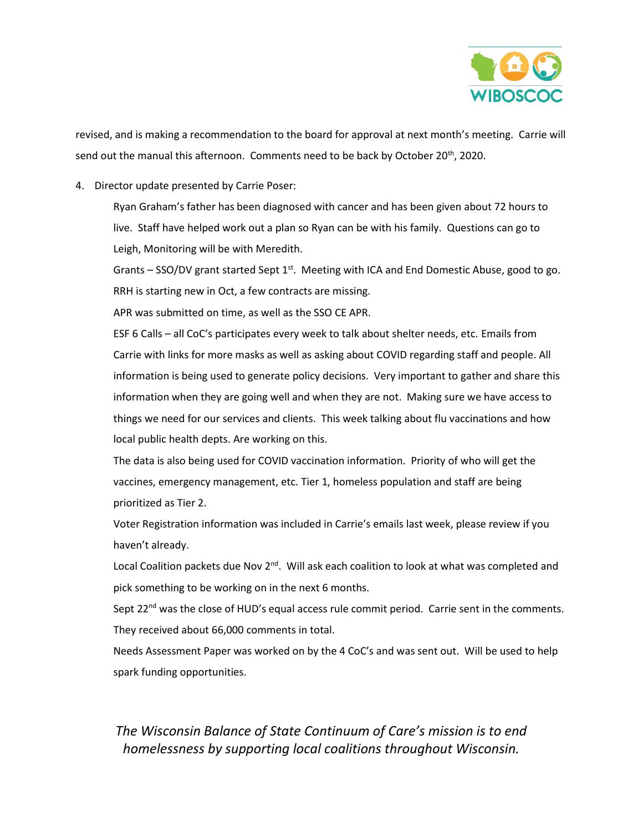

revised, and is making a recommendation to the board for approval at next month's meeting. Carrie will send out the manual this afternoon. Comments need to be back by October 20<sup>th</sup>, 2020.

4. Director update presented by Carrie Poser:

Ryan Graham's father has been diagnosed with cancer and has been given about 72 hours to live. Staff have helped work out a plan so Ryan can be with his family. Questions can go to Leigh, Monitoring will be with Meredith.

Grants – SSO/DV grant started Sept  $1^{st}$ . Meeting with ICA and End Domestic Abuse, good to go. RRH is starting new in Oct, a few contracts are missing.

APR was submitted on time, as well as the SSO CE APR.

ESF 6 Calls – all CoC's participates every week to talk about shelter needs, etc. Emails from Carrie with links for more masks as well as asking about COVID regarding staff and people. All information is being used to generate policy decisions. Very important to gather and share this information when they are going well and when they are not. Making sure we have access to things we need for our services and clients. This week talking about flu vaccinations and how local public health depts. Are working on this.

The data is also being used for COVID vaccination information. Priority of who will get the vaccines, emergency management, etc. Tier 1, homeless population and staff are being prioritized as Tier 2.

Voter Registration information was included in Carrie's emails last week, please review if you haven't already.

Local Coalition packets due Nov 2<sup>nd</sup>. Will ask each coalition to look at what was completed and pick something to be working on in the next 6 months.

Sept 22<sup>nd</sup> was the close of HUD's equal access rule commit period. Carrie sent in the comments. They received about 66,000 comments in total.

Needs Assessment Paper was worked on by the 4 CoC's and was sent out. Will be used to help spark funding opportunities.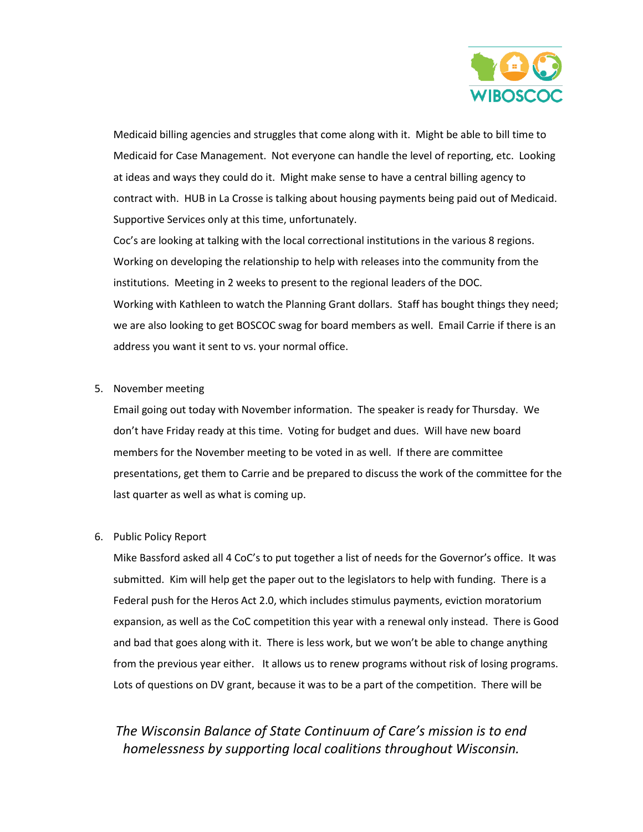

Medicaid billing agencies and struggles that come along with it. Might be able to bill time to Medicaid for Case Management. Not everyone can handle the level of reporting, etc. Looking at ideas and ways they could do it. Might make sense to have a central billing agency to contract with. HUB in La Crosse is talking about housing payments being paid out of Medicaid. Supportive Services only at this time, unfortunately.

Coc's are looking at talking with the local correctional institutions in the various 8 regions. Working on developing the relationship to help with releases into the community from the institutions. Meeting in 2 weeks to present to the regional leaders of the DOC. Working with Kathleen to watch the Planning Grant dollars. Staff has bought things they need; we are also looking to get BOSCOC swag for board members as well. Email Carrie if there is an address you want it sent to vs. your normal office.

#### 5. November meeting

Email going out today with November information. The speaker is ready for Thursday. We don't have Friday ready at this time. Voting for budget and dues. Will have new board members for the November meeting to be voted in as well. If there are committee presentations, get them to Carrie and be prepared to discuss the work of the committee for the last quarter as well as what is coming up.

#### 6. Public Policy Report

Mike Bassford asked all 4 CoC's to put together a list of needs for the Governor's office. It was submitted. Kim will help get the paper out to the legislators to help with funding. There is a Federal push for the Heros Act 2.0, which includes stimulus payments, eviction moratorium expansion, as well as the CoC competition this year with a renewal only instead. There is Good and bad that goes along with it. There is less work, but we won't be able to change anything from the previous year either. It allows us to renew programs without risk of losing programs. Lots of questions on DV grant, because it was to be a part of the competition. There will be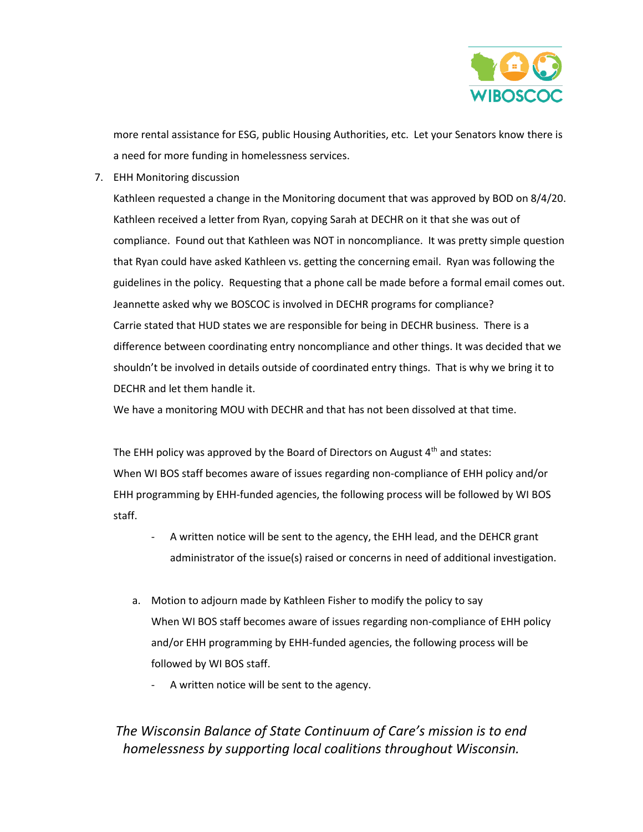

more rental assistance for ESG, public Housing Authorities, etc. Let your Senators know there is a need for more funding in homelessness services.

7. EHH Monitoring discussion

Kathleen requested a change in the Monitoring document that was approved by BOD on 8/4/20. Kathleen received a letter from Ryan, copying Sarah at DECHR on it that she was out of compliance. Found out that Kathleen was NOT in noncompliance. It was pretty simple question that Ryan could have asked Kathleen vs. getting the concerning email. Ryan was following the guidelines in the policy. Requesting that a phone call be made before a formal email comes out. Jeannette asked why we BOSCOC is involved in DECHR programs for compliance? Carrie stated that HUD states we are responsible for being in DECHR business. There is a difference between coordinating entry noncompliance and other things. It was decided that we shouldn't be involved in details outside of coordinated entry things. That is why we bring it to DECHR and let them handle it.

We have a monitoring MOU with DECHR and that has not been dissolved at that time.

The EHH policy was approved by the Board of Directors on August  $4<sup>th</sup>$  and states: When WI BOS staff becomes aware of issues regarding non-compliance of EHH policy and/or EHH programming by EHH-funded agencies, the following process will be followed by WI BOS staff.

- A written notice will be sent to the agency, the EHH lead, and the DEHCR grant administrator of the issue(s) raised or concerns in need of additional investigation.
- a. Motion to adjourn made by Kathleen Fisher to modify the policy to say When WI BOS staff becomes aware of issues regarding non-compliance of EHH policy and/or EHH programming by EHH-funded agencies, the following process will be followed by WI BOS staff.
	- A written notice will be sent to the agency.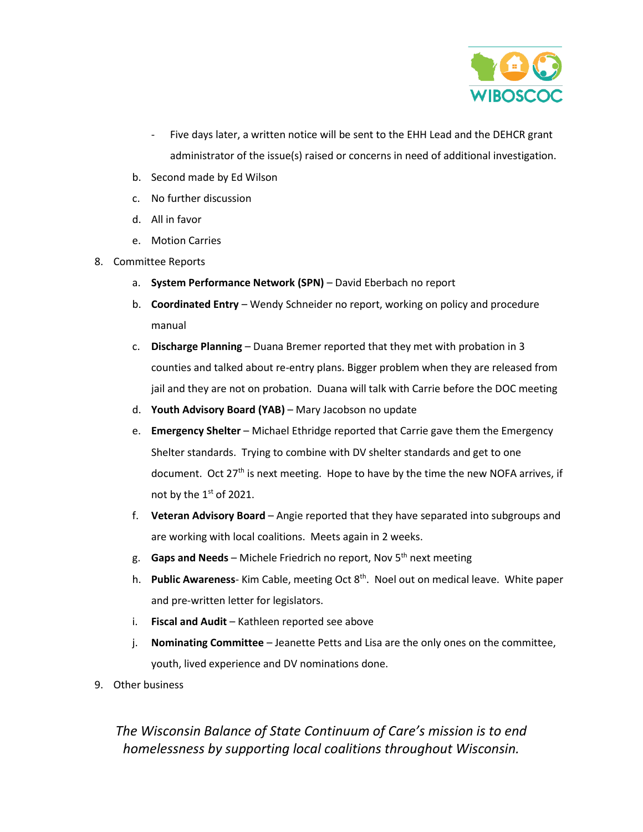

- Five days later, a written notice will be sent to the EHH Lead and the DEHCR grant administrator of the issue(s) raised or concerns in need of additional investigation.
- b. Second made by Ed Wilson
- c. No further discussion
- d. All in favor
- e. Motion Carries
- 8. Committee Reports
	- a. **System Performance Network (SPN)** David Eberbach no report
	- b. **Coordinated Entry** Wendy Schneider no report, working on policy and procedure manual
	- c. **Discharge Planning** Duana Bremer reported that they met with probation in 3 counties and talked about re-entry plans. Bigger problem when they are released from jail and they are not on probation. Duana will talk with Carrie before the DOC meeting
	- d. **Youth Advisory Board (YAB)** Mary Jacobson no update
	- e. **Emergency Shelter** Michael Ethridge reported that Carrie gave them the Emergency Shelter standards. Trying to combine with DV shelter standards and get to one document. Oct 27<sup>th</sup> is next meeting. Hope to have by the time the new NOFA arrives, if not by the  $1<sup>st</sup>$  of 2021.
	- f. **Veteran Advisory Board** Angie reported that they have separated into subgroups and are working with local coalitions. Meets again in 2 weeks.
	- g. **Gaps and Needs** Michele Friedrich no report, Nov 5th next meeting
	- h. **Public Awareness** Kim Cable, meeting Oct 8th. Noel out on medical leave. White paper and pre-written letter for legislators.
	- i. **Fiscal and Audit** Kathleen reported see above
	- j. **Nominating Committee** Jeanette Petts and Lisa are the only ones on the committee, youth, lived experience and DV nominations done.
- 9. Other business